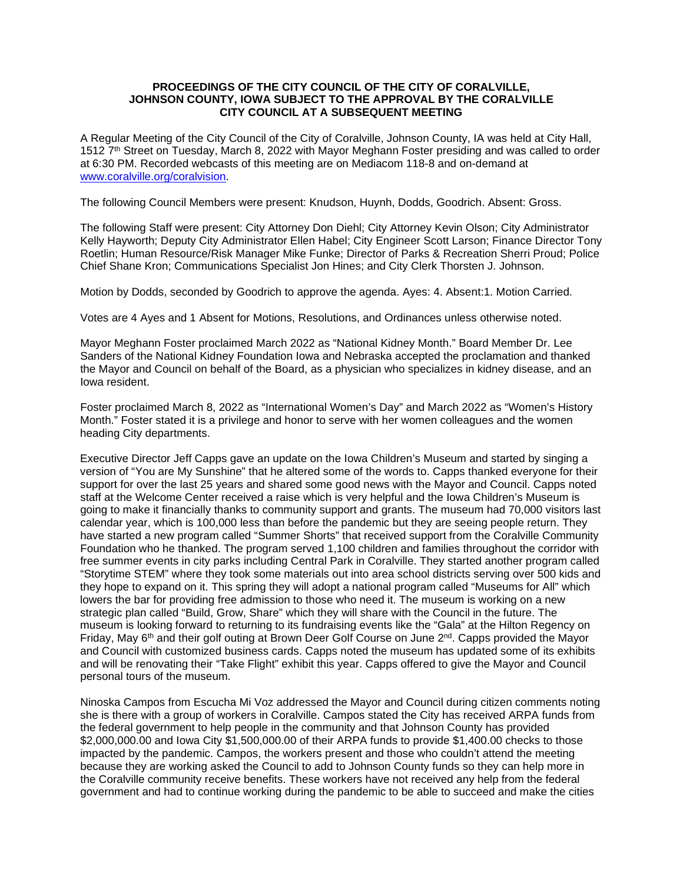### **PROCEEDINGS OF THE CITY COUNCIL OF THE CITY OF CORALVILLE, JOHNSON COUNTY, IOWA SUBJECT TO THE APPROVAL BY THE CORALVILLE CITY COUNCIL AT A SUBSEQUENT MEETING**

A Regular Meeting of the City Council of the City of Coralville, Johnson County, IA was held at City Hall, 1512 7th Street on Tuesday, March 8, 2022 with Mayor Meghann Foster presiding and was called to order at 6:30 PM. Recorded webcasts of this meeting are on Mediacom 118-8 and on-demand at [www.coralville.org/coralvision.](http://www.coralville.org/coralvision)

The following Council Members were present: Knudson, Huynh, Dodds, Goodrich. Absent: Gross.

The following Staff were present: City Attorney Don Diehl; City Attorney Kevin Olson; City Administrator Kelly Hayworth; Deputy City Administrator Ellen Habel; City Engineer Scott Larson; Finance Director Tony Roetlin; Human Resource/Risk Manager Mike Funke; Director of Parks & Recreation Sherri Proud; Police Chief Shane Kron; Communications Specialist Jon Hines; and City Clerk Thorsten J. Johnson.

Motion by Dodds, seconded by Goodrich to approve the agenda. Ayes: 4. Absent:1. Motion Carried.

Votes are 4 Ayes and 1 Absent for Motions, Resolutions, and Ordinances unless otherwise noted.

Mayor Meghann Foster proclaimed March 2022 as "National Kidney Month." Board Member Dr. Lee Sanders of the National Kidney Foundation Iowa and Nebraska accepted the proclamation and thanked the Mayor and Council on behalf of the Board, as a physician who specializes in kidney disease, and an Iowa resident.

Foster proclaimed March 8, 2022 as "International Women's Day" and March 2022 as "Women's History Month." Foster stated it is a privilege and honor to serve with her women colleagues and the women heading City departments.

Executive Director Jeff Capps gave an update on the Iowa Children's Museum and started by singing a version of "You are My Sunshine" that he altered some of the words to. Capps thanked everyone for their support for over the last 25 years and shared some good news with the Mayor and Council. Capps noted staff at the Welcome Center received a raise which is very helpful and the Iowa Children's Museum is going to make it financially thanks to community support and grants. The museum had 70,000 visitors last calendar year, which is 100,000 less than before the pandemic but they are seeing people return. They have started a new program called "Summer Shorts" that received support from the Coralville Community Foundation who he thanked. The program served 1,100 children and families throughout the corridor with free summer events in city parks including Central Park in Coralville. They started another program called "Storytime STEM" where they took some materials out into area school districts serving over 500 kids and they hope to expand on it. This spring they will adopt a national program called "Museums for All" which lowers the bar for providing free admission to those who need it. The museum is working on a new strategic plan called "Build, Grow, Share" which they will share with the Council in the future. The museum is looking forward to returning to its fundraising events like the "Gala" at the Hilton Regency on Friday, May 6<sup>th</sup> and their golf outing at Brown Deer Golf Course on June 2<sup>nd</sup>. Capps provided the Mayor and Council with customized business cards. Capps noted the museum has updated some of its exhibits and will be renovating their "Take Flight" exhibit this year. Capps offered to give the Mayor and Council personal tours of the museum.

Ninoska Campos from Escucha Mi Voz addressed the Mayor and Council during citizen comments noting she is there with a group of workers in Coralville. Campos stated the City has received ARPA funds from the federal government to help people in the community and that Johnson County has provided \$2,000,000.00 and Iowa City \$1,500,000.00 of their ARPA funds to provide \$1,400.00 checks to those impacted by the pandemic. Campos, the workers present and those who couldn't attend the meeting because they are working asked the Council to add to Johnson County funds so they can help more in the Coralville community receive benefits. These workers have not received any help from the federal government and had to continue working during the pandemic to be able to succeed and make the cities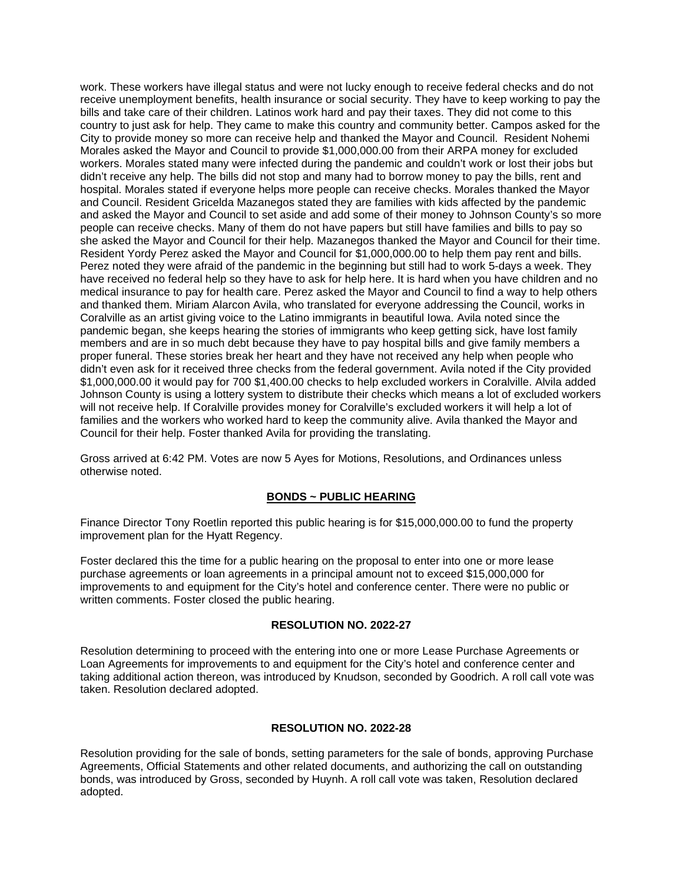work. These workers have illegal status and were not lucky enough to receive federal checks and do not receive unemployment benefits, health insurance or social security. They have to keep working to pay the bills and take care of their children. Latinos work hard and pay their taxes. They did not come to this country to just ask for help. They came to make this country and community better. Campos asked for the City to provide money so more can receive help and thanked the Mayor and Council. Resident Nohemi Morales asked the Mayor and Council to provide \$1,000,000.00 from their ARPA money for excluded workers. Morales stated many were infected during the pandemic and couldn't work or lost their jobs but didn't receive any help. The bills did not stop and many had to borrow money to pay the bills, rent and hospital. Morales stated if everyone helps more people can receive checks. Morales thanked the Mayor and Council. Resident Gricelda Mazanegos stated they are families with kids affected by the pandemic and asked the Mayor and Council to set aside and add some of their money to Johnson County's so more people can receive checks. Many of them do not have papers but still have families and bills to pay so she asked the Mayor and Council for their help. Mazanegos thanked the Mayor and Council for their time. Resident Yordy Perez asked the Mayor and Council for \$1,000,000.00 to help them pay rent and bills. Perez noted they were afraid of the pandemic in the beginning but still had to work 5-days a week. They have received no federal help so they have to ask for help here. It is hard when you have children and no medical insurance to pay for health care. Perez asked the Mayor and Council to find a way to help others and thanked them. Miriam Alarcon Avila, who translated for everyone addressing the Council, works in Coralville as an artist giving voice to the Latino immigrants in beautiful Iowa. Avila noted since the pandemic began, she keeps hearing the stories of immigrants who keep getting sick, have lost family members and are in so much debt because they have to pay hospital bills and give family members a proper funeral. These stories break her heart and they have not received any help when people who didn't even ask for it received three checks from the federal government. Avila noted if the City provided \$1,000,000.00 it would pay for 700 \$1,400.00 checks to help excluded workers in Coralville. Alvila added Johnson County is using a lottery system to distribute their checks which means a lot of excluded workers will not receive help. If Coralville provides money for Coralville's excluded workers it will help a lot of families and the workers who worked hard to keep the community alive. Avila thanked the Mayor and Council for their help. Foster thanked Avila for providing the translating.

Gross arrived at 6:42 PM. Votes are now 5 Ayes for Motions, Resolutions, and Ordinances unless otherwise noted.

## **BONDS ~ PUBLIC HEARING**

Finance Director Tony Roetlin reported this public hearing is for \$15,000,000.00 to fund the property improvement plan for the Hyatt Regency.

Foster declared this the time for a public hearing on the proposal to enter into one or more lease purchase agreements or loan agreements in a principal amount not to exceed \$15,000,000 for improvements to and equipment for the City's hotel and conference center. There were no public or written comments. Foster closed the public hearing.

### **RESOLUTION NO. 2022-27**

Resolution determining to proceed with the entering into one or more Lease Purchase Agreements or Loan Agreements for improvements to and equipment for the City's hotel and conference center and taking additional action thereon, was introduced by Knudson, seconded by Goodrich. A roll call vote was taken. Resolution declared adopted.

### **RESOLUTION NO. 2022-28**

Resolution providing for the sale of bonds, setting parameters for the sale of bonds, approving Purchase Agreements, Official Statements and other related documents, and authorizing the call on outstanding bonds, was introduced by Gross, seconded by Huynh. A roll call vote was taken, Resolution declared adopted.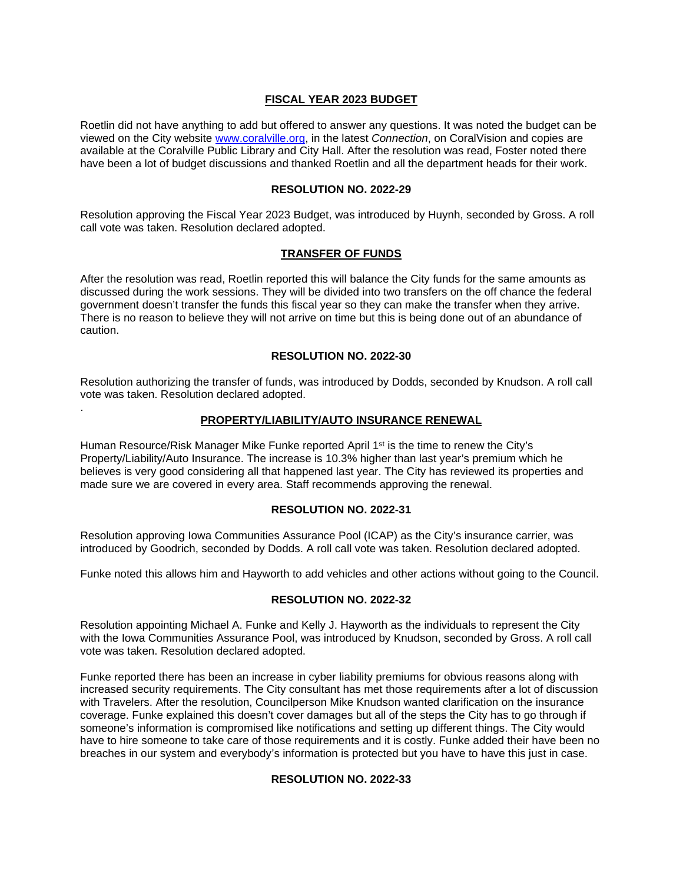### **FISCAL YEAR 2023 BUDGET**

Roetlin did not have anything to add but offered to answer any questions. It was noted the budget can be viewed on the City website [www.coralville.org,](http://www.coralville.org/) in the latest *Connection*, on CoralVision and copies are available at the Coralville Public Library and City Hall. After the resolution was read, Foster noted there have been a lot of budget discussions and thanked Roetlin and all the department heads for their work.

### **RESOLUTION NO. 2022-29**

Resolution approving the Fiscal Year 2023 Budget, was introduced by Huynh, seconded by Gross. A roll call vote was taken. Resolution declared adopted.

## **TRANSFER OF FUNDS**

After the resolution was read, Roetlin reported this will balance the City funds for the same amounts as discussed during the work sessions. They will be divided into two transfers on the off chance the federal government doesn't transfer the funds this fiscal year so they can make the transfer when they arrive. There is no reason to believe they will not arrive on time but this is being done out of an abundance of caution.

### **RESOLUTION NO. 2022-30**

Resolution authorizing the transfer of funds, was introduced by Dodds, seconded by Knudson. A roll call vote was taken. Resolution declared adopted.

.

### **PROPERTY/LIABILITY/AUTO INSURANCE RENEWAL**

Human Resource/Risk Manager Mike Funke reported April  $1<sup>st</sup>$  is the time to renew the City's Property/Liability/Auto Insurance. The increase is 10.3% higher than last year's premium which he believes is very good considering all that happened last year. The City has reviewed its properties and made sure we are covered in every area. Staff recommends approving the renewal.

### **RESOLUTION NO. 2022-31**

Resolution approving Iowa Communities Assurance Pool (ICAP) as the City's insurance carrier, was introduced by Goodrich, seconded by Dodds. A roll call vote was taken. Resolution declared adopted.

Funke noted this allows him and Hayworth to add vehicles and other actions without going to the Council.

### **RESOLUTION NO. 2022-32**

Resolution appointing Michael A. Funke and Kelly J. Hayworth as the individuals to represent the City with the Iowa Communities Assurance Pool, was introduced by Knudson, seconded by Gross. A roll call vote was taken. Resolution declared adopted.

Funke reported there has been an increase in cyber liability premiums for obvious reasons along with increased security requirements. The City consultant has met those requirements after a lot of discussion with Travelers. After the resolution, Councilperson Mike Knudson wanted clarification on the insurance coverage. Funke explained this doesn't cover damages but all of the steps the City has to go through if someone's information is compromised like notifications and setting up different things. The City would have to hire someone to take care of those requirements and it is costly. Funke added their have been no breaches in our system and everybody's information is protected but you have to have this just in case.

## **RESOLUTION NO. 2022-33**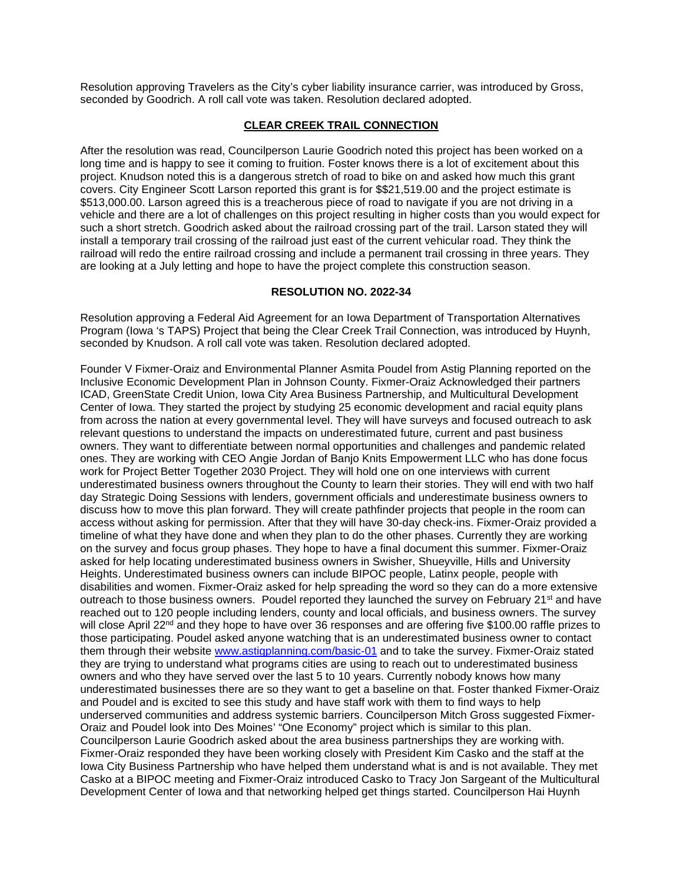Resolution approving Travelers as the City's cyber liability insurance carrier, was introduced by Gross, seconded by Goodrich. A roll call vote was taken. Resolution declared adopted.

### **CLEAR CREEK TRAIL CONNECTION**

After the resolution was read, Councilperson Laurie Goodrich noted this project has been worked on a long time and is happy to see it coming to fruition. Foster knows there is a lot of excitement about this project. Knudson noted this is a dangerous stretch of road to bike on and asked how much this grant covers. City Engineer Scott Larson reported this grant is for \$\$21,519.00 and the project estimate is \$513,000.00. Larson agreed this is a treacherous piece of road to navigate if you are not driving in a vehicle and there are a lot of challenges on this project resulting in higher costs than you would expect for such a short stretch. Goodrich asked about the railroad crossing part of the trail. Larson stated they will install a temporary trail crossing of the railroad just east of the current vehicular road. They think the railroad will redo the entire railroad crossing and include a permanent trail crossing in three years. They are looking at a July letting and hope to have the project complete this construction season.

### **RESOLUTION NO. 2022-34**

Resolution approving a Federal Aid Agreement for an Iowa Department of Transportation Alternatives Program (Iowa 's TAPS) Project that being the Clear Creek Trail Connection, was introduced by Huynh, seconded by Knudson. A roll call vote was taken. Resolution declared adopted.

Founder V Fixmer-Oraiz and Environmental Planner Asmita Poudel from Astig Planning reported on the Inclusive Economic Development Plan in Johnson County. Fixmer-Oraiz Acknowledged their partners ICAD, GreenState Credit Union, Iowa City Area Business Partnership, and Multicultural Development Center of Iowa. They started the project by studying 25 economic development and racial equity plans from across the nation at every governmental level. They will have surveys and focused outreach to ask relevant questions to understand the impacts on underestimated future, current and past business owners. They want to differentiate between normal opportunities and challenges and pandemic related ones. They are working with CEO Angie Jordan of Banjo Knits Empowerment LLC who has done focus work for Project Better Together 2030 Project. They will hold one on one interviews with current underestimated business owners throughout the County to learn their stories. They will end with two half day Strategic Doing Sessions with lenders, government officials and underestimate business owners to discuss how to move this plan forward. They will create pathfinder projects that people in the room can access without asking for permission. After that they will have 30-day check-ins. Fixmer-Oraiz provided a timeline of what they have done and when they plan to do the other phases. Currently they are working on the survey and focus group phases. They hope to have a final document this summer. Fixmer-Oraiz asked for help locating underestimated business owners in Swisher, Shueyville, Hills and University Heights. Underestimated business owners can include BIPOC people, Latinx people, people with disabilities and women. Fixmer-Oraiz asked for help spreading the word so they can do a more extensive outreach to those business owners. Poudel reported they launched the survey on February 21<sup>st</sup> and have reached out to 120 people including lenders, county and local officials, and business owners. The survey will close April 22<sup>nd</sup> and they hope to have over 36 responses and are offering five \$100.00 raffle prizes to those participating. Poudel asked anyone watching that is an underestimated business owner to contact them through their website [www.astigplanning.com/basic-01](http://www.astigplanning.com/basic-01) and to take the survey. Fixmer-Oraiz stated they are trying to understand what programs cities are using to reach out to underestimated business owners and who they have served over the last 5 to 10 years. Currently nobody knows how many underestimated businesses there are so they want to get a baseline on that. Foster thanked Fixmer-Oraiz and Poudel and is excited to see this study and have staff work with them to find ways to help underserved communities and address systemic barriers. Councilperson Mitch Gross suggested Fixmer-Oraiz and Poudel look into Des Moines' "One Economy" project which is similar to this plan. Councilperson Laurie Goodrich asked about the area business partnerships they are working with. Fixmer-Oraiz responded they have been working closely with President Kim Casko and the staff at the Iowa City Business Partnership who have helped them understand what is and is not available. They met Casko at a BIPOC meeting and Fixmer-Oraiz introduced Casko to Tracy Jon Sargeant of the Multicultural Development Center of Iowa and that networking helped get things started. Councilperson Hai Huynh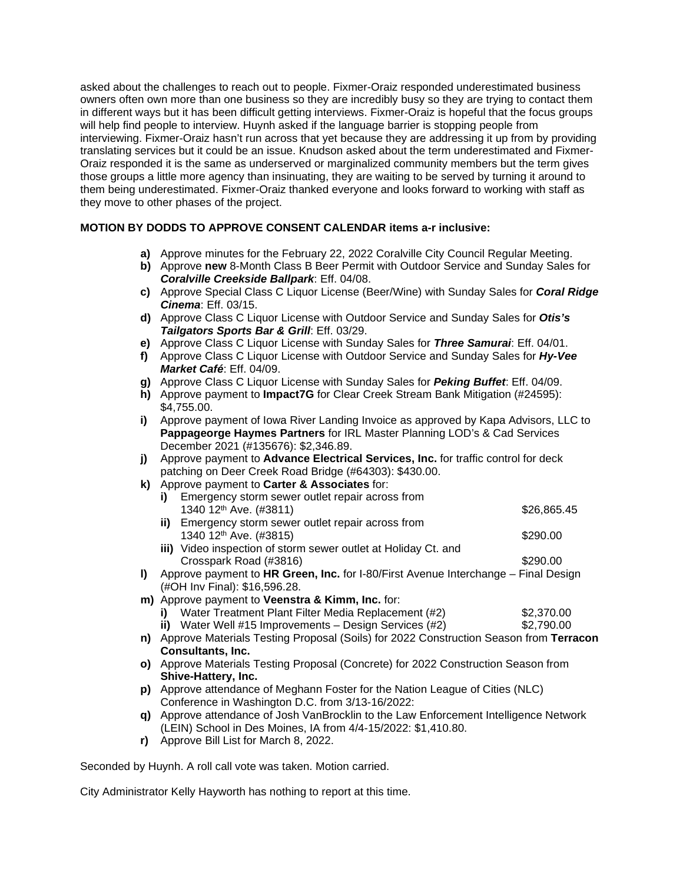asked about the challenges to reach out to people. Fixmer-Oraiz responded underestimated business owners often own more than one business so they are incredibly busy so they are trying to contact them in different ways but it has been difficult getting interviews. Fixmer-Oraiz is hopeful that the focus groups will help find people to interview. Huynh asked if the language barrier is stopping people from interviewing. Fixmer-Oraiz hasn't run across that yet because they are addressing it up from by providing translating services but it could be an issue. Knudson asked about the term underestimated and Fixmer-Oraiz responded it is the same as underserved or marginalized community members but the term gives those groups a little more agency than insinuating, they are waiting to be served by turning it around to them being underestimated. Fixmer-Oraiz thanked everyone and looks forward to working with staff as they move to other phases of the project.

# **MOTION BY DODDS TO APPROVE CONSENT CALENDAR items a-r inclusive:**

- **a)** Approve minutes for the February 22, 2022 Coralville City Council Regular Meeting.
- **b)** Approve **new** 8-Month Class B Beer Permit with Outdoor Service and Sunday Sales for *Coralville Creekside Ballpark*: Eff. 04/08.
- **c)** Approve Special Class C Liquor License (Beer/Wine) with Sunday Sales for *Coral Ridge Cinema*: Eff. 03/15.
- **d)** Approve Class C Liquor License with Outdoor Service and Sunday Sales for *Otis's Tailgators Sports Bar & Grill*: Eff. 03/29.
- **e)** Approve Class C Liquor License with Sunday Sales for *Three Samurai*: Eff. 04/01.
- **f)** Approve Class C Liquor License with Outdoor Service and Sunday Sales for *Hy-Vee Market Café*: Eff. 04/09.
- **g)** Approve Class C Liquor License with Sunday Sales for *Peking Buffet*: Eff. 04/09.
- **h)** Approve payment to **Impact7G** for Clear Creek Stream Bank Mitigation (#24595): \$4,755.00.
- **i)** Approve payment of Iowa River Landing Invoice as approved by Kapa Advisors, LLC to **Pappageorge Haymes Partners** for IRL Master Planning LOD's & Cad Services December 2021 (#135676): \$2,346.89.
- **j)** Approve payment to **Advance Electrical Services, Inc.** for traffic control for deck patching on Deer Creek Road Bridge (#64303): \$430.00.
- **k)** Approve payment to **Carter & Associates** for:

| i) Emergency storm sewer outlet repair across from  |             |
|-----------------------------------------------------|-------------|
| 1340 12 <sup>th</sup> Ave. (#3811)                  | \$26,865.45 |
| ii) Emergency storm sewer outlet repair across from |             |
| 1340 12 <sup>th</sup> Ave. (#3815)                  | \$290.00    |

- **iii)** Video inspection of storm sewer outlet at Holiday Ct. and Crosspark Road (#3816) \$290.00
- **l)** Approve payment to **HR Green, Inc.** for I-80/First Avenue Interchange Final Design (#OH Inv Final): \$16,596.28.
- **m)** Approve payment to **Veenstra & Kimm, Inc.** for:
	- **i)** Water Treatment Plant Filter Media Replacement (#2) \$2,370.00<br> **ii)** Water Well #15 Improvements Design Services (#2) \$2,790.00 **ii)** Water Well  $#15$  Improvements – Design Services  $(H2)$
- **n)** Approve Materials Testing Proposal (Soils) for 2022 Construction Season from **Terracon Consultants, Inc.**
- **o)** Approve Materials Testing Proposal (Concrete) for 2022 Construction Season from **Shive-Hattery, Inc.**
- **p)** Approve attendance of Meghann Foster for the Nation League of Cities (NLC) Conference in Washington D.C. from 3/13-16/2022:
- **q)** Approve attendance of Josh VanBrocklin to the Law Enforcement Intelligence Network (LEIN) School in Des Moines, IA from 4/4-15/2022: \$1,410.80.
- **r)** Approve Bill List for March 8, 2022.

Seconded by Huynh. A roll call vote was taken. Motion carried.

City Administrator Kelly Hayworth has nothing to report at this time.